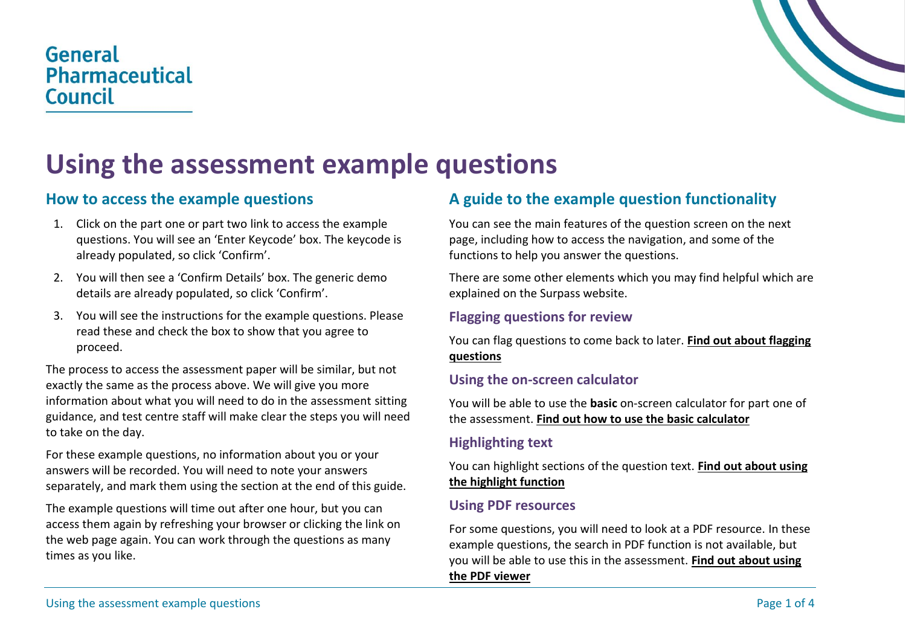# General **Pharmaceutical Council**



# **Using the assessment example questions**

### **How to access the example questions**

- 1. Click on the part one or part two link to access the example questions. You will see an 'Enter Keycode' box. The keycode is already populated, so click 'Confirm'.
- 2. You will then see a 'Confirm Details' box. The generic demo details are already populated, so click 'Confirm'.
- 3. You will see the instructions for the example questions. Please read these and check the box to show that you agree to proceed.

The process to access the assessment paper will be similar, but not exactly the same as the process above. We will give you more information about what you will need to do in the assessment sitting guidance, and test centre staff will make clear the steps you will need to take on the day.

For these example questions, no information about you or your answers will be recorded. You will need to note your answers separately, and mark them using the section at the end of this guide.

The example questions will time out after one hour, but you can access them again by refreshing your browser or clicking the link on the web page again. You can work through the questions as many times as you like.

## **A guide to the example question functionality**

You can see the main features of the question screen on the next page, including how to access the navigation, and some of the functions to help you answer the questions.

There are some other elements which you may find helpful which are explained on the Surpass website.

#### **Flagging questions for review**

You can flag questions to come back to later. **[Find out about flagging](https://help.surpass.com/documentation/test-delivery/using-the-surpass-test-driver/during-a-test/flagging-items-in-the-test-driver/)  [questions](https://help.surpass.com/documentation/test-delivery/using-the-surpass-test-driver/during-a-test/flagging-items-in-the-test-driver/)**

#### **Using the on-screen calculator**

You will be able to use the **basic** on-screen calculator for part one of the assessment. **Find [out how to use the basic calculator](https://help.surpass.com/documentation/test-delivery/using-the-surpass-test-driver/during-a-test/using-the-calculator-in-the-test-driver/)**

#### **Highlighting text**

You can highlight sections of the question text. **[Find out about using](https://help.surpass.com/documentation/test-delivery/using-the-surpass-test-driver/during-a-test/using-the-highlighting-tool-in-the-test-driver/)  [the highlight function](https://help.surpass.com/documentation/test-delivery/using-the-surpass-test-driver/during-a-test/using-the-highlighting-tool-in-the-test-driver/)**

#### **Using PDF resources**

For some questions, you will need to look at a PDF resource. In these example questions, the search in PDF function is not available, but you will be able to use this in the assessment. **[Find out about using](https://help.surpass.com/documentation/test-delivery/using-the-surpass-test-driver/during-a-test/using-the-pdf-viewer-in-the-test-driver/)  [the PDF viewer](https://help.surpass.com/documentation/test-delivery/using-the-surpass-test-driver/during-a-test/using-the-pdf-viewer-in-the-test-driver/)**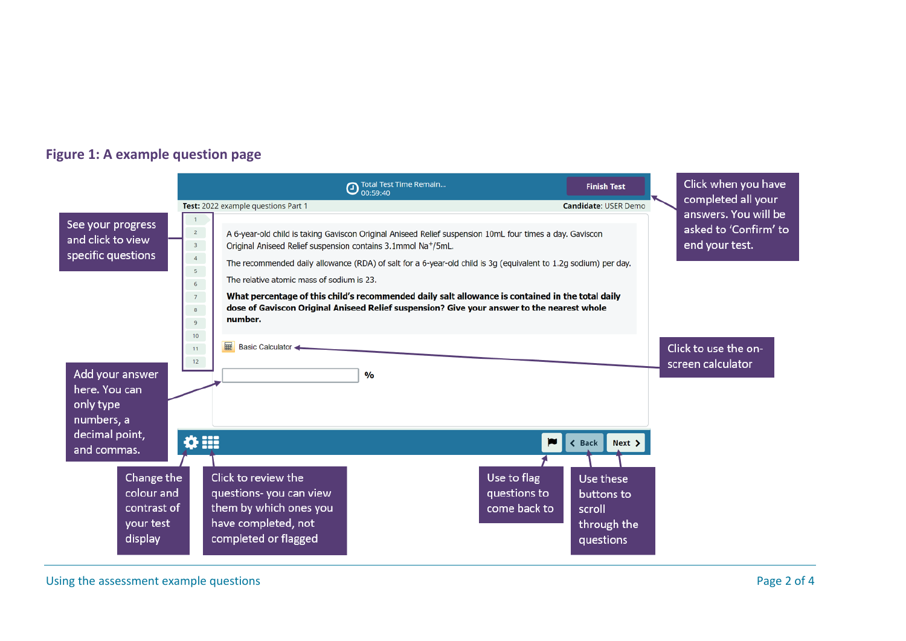#### **Figure 1: A example question page**



Using the assessment example questions example the structure of 4 and 2 of 4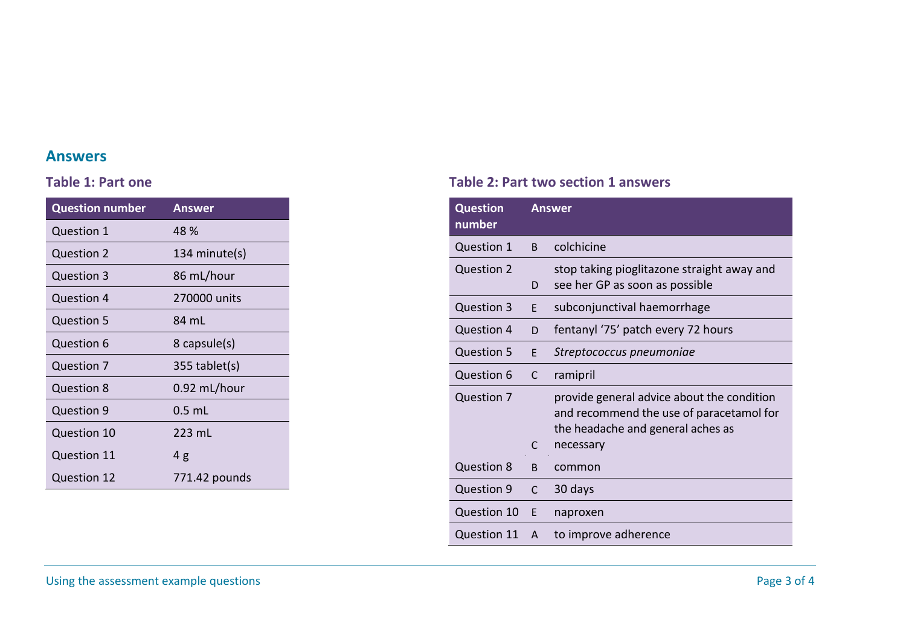#### **Answers**

#### **Table 1: Part one**

| <b>Question number</b> | <b>Answer</b>   |
|------------------------|-----------------|
| <b>Question 1</b>      | 48 %            |
| <b>Question 2</b>      | 134 minute(s)   |
| <b>Question 3</b>      | 86 mL/hour      |
| Question 4             | 270000 units    |
| <b>Question 5</b>      | 84 mL           |
| Question 6             | 8 capsule(s)    |
| <b>Question 7</b>      | $355$ tablet(s) |
| <b>Question 8</b>      | 0.92 mL/hour    |
| Question 9             | $0.5$ mL        |
| <b>Question 10</b>     | 223 mL          |
| <b>Question 11</b>     | 4g              |
| Question 12            | 771.42 pounds   |

#### **Table 2: Part two section 1 answers**

| <b>Question</b><br>number |              | <b>Answer</b>                                                                                                                            |
|---------------------------|--------------|------------------------------------------------------------------------------------------------------------------------------------------|
| <b>Question 1</b>         | B.           | colchicine                                                                                                                               |
| <b>Question 2</b>         | D            | stop taking pioglitazone straight away and<br>see her GP as soon as possible                                                             |
| <b>Question 3</b>         | E            | subconjunctival haemorrhage                                                                                                              |
| <b>Question 4</b>         | D            | fentanyl '75' patch every 72 hours                                                                                                       |
| <b>Question 5</b>         | E.           | Streptococcus pneumoniae                                                                                                                 |
| Question 6                | $\mathsf{C}$ | ramipril                                                                                                                                 |
| Question 7                | C            | provide general advice about the condition<br>and recommend the use of paracetamol for<br>the headache and general aches as<br>necessary |
| Question 8                | B            | common                                                                                                                                   |
| Question 9                | $\mathsf{C}$ | 30 days                                                                                                                                  |
| Question 10               | E            | naproxen                                                                                                                                 |
| <b>Question 11</b>        | A            | to improve adherence                                                                                                                     |